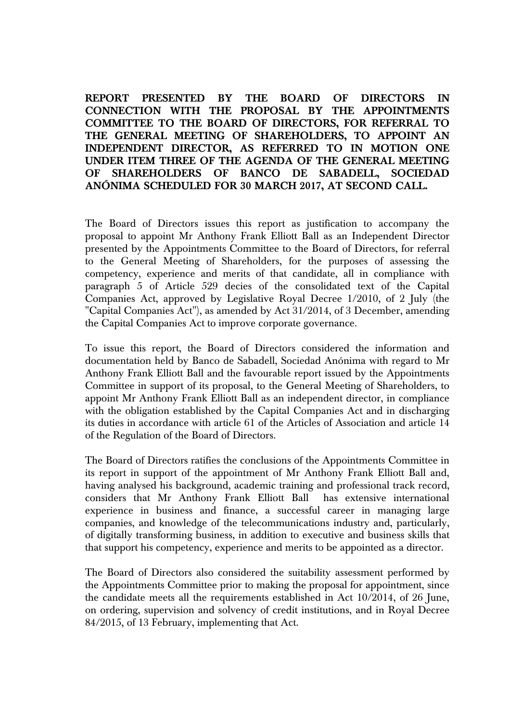## **REPORT PRESENTED BY THE BOARD OF DIRECTORS IN CONNECTION WITH THE PROPOSAL BY THE APPOINTMENTS COMMITTEE TO THE BOARD OF DIRECTORS, FOR REFERRAL TO THE GENERAL MEETING OF SHAREHOLDERS, TO APPOINT AN INDEPENDENT DIRECTOR, AS REFERRED TO IN MOTION ONE UNDER ITEM THREE OF THE AGENDA OF THE GENERAL MEETING OF SHAREHOLDERS OF BANCO DE SABADELL, SOCIEDAD ANÓNIMA SCHEDULED FOR 30 MARCH 2017, AT SECOND CALL.**

The Board of Directors issues this report as justification to accompany the proposal to appoint Mr Anthony Frank Elliott Ball as an Independent Director presented by the Appointments Committee to the Board of Directors, for referral to the General Meeting of Shareholders, for the purposes of assessing the competency, experience and merits of that candidate, all in compliance with paragraph 5 of Article 529 decies of the consolidated text of the Capital Companies Act, approved by Legislative Royal Decree 1/2010, of 2 July (the "Capital Companies Act"), as amended by Act 31/2014, of 3 December, amending the Capital Companies Act to improve corporate governance.

To issue this report, the Board of Directors considered the information and documentation held by Banco de Sabadell, Sociedad Anónima with regard to Mr Anthony Frank Elliott Ball and the favourable report issued by the Appointments Committee in support of its proposal, to the General Meeting of Shareholders, to appoint Mr Anthony Frank Elliott Ball as an independent director, in compliance with the obligation established by the Capital Companies Act and in discharging its duties in accordance with article 61 of the Articles of Association and article 14 of the Regulation of the Board of Directors.

The Board of Directors ratifies the conclusions of the Appointments Committee in its report in support of the appointment of Mr Anthony Frank Elliott Ball and, having analysed his background, academic training and professional track record, considers that Mr Anthony Frank Elliott Ball has extensive international experience in business and finance, a successful career in managing large companies, and knowledge of the telecommunications industry and, particularly, of digitally transforming business, in addition to executive and business skills that that support his competency, experience and merits to be appointed as a director.

The Board of Directors also considered the suitability assessment performed by the Appointments Committee prior to making the proposal for appointment, since the candidate meets all the requirements established in Act 10/2014, of 26 June, on ordering, supervision and solvency of credit institutions, and in Royal Decree 84/2015, of 13 February, implementing that Act.